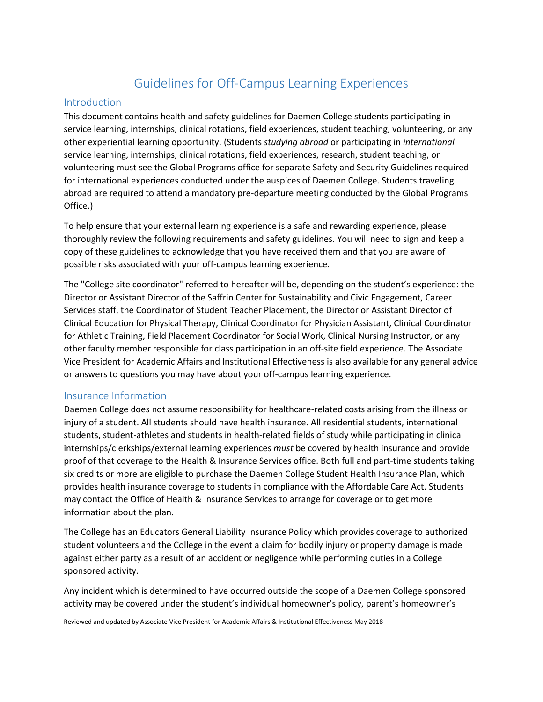# Guidelines for Off-Campus Learning Experiences

#### Introduction

This document contains health and safety guidelines for Daemen College students participating in service learning, internships, clinical rotations, field experiences, student teaching, volunteering, or any other experiential learning opportunity. (Students *studying abroad* or participating in *international* service learning, internships, clinical rotations, field experiences, research, student teaching, or volunteering must see the Global Programs office for separate Safety and Security Guidelines required for international experiences conducted under the auspices of Daemen College. Students traveling abroad are required to attend a mandatory pre-departure meeting conducted by the Global Programs Office.)

To help ensure that your external learning experience is a safe and rewarding experience, please thoroughly review the following requirements and safety guidelines. You will need to sign and keep a copy of these guidelines to acknowledge that you have received them and that you are aware of possible risks associated with your off-campus learning experience.

The "College site coordinator" referred to hereafter will be, depending on the student's experience: the Director or Assistant Director of the Saffrin Center for Sustainability and Civic Engagement, Career Services staff, the Coordinator of Student Teacher Placement, the Director or Assistant Director of Clinical Education for Physical Therapy, Clinical Coordinator for Physician Assistant, Clinical Coordinator for Athletic Training, Field Placement Coordinator for Social Work, Clinical Nursing Instructor, or any other faculty member responsible for class participation in an off-site field experience. The Associate Vice President for Academic Affairs and Institutional Effectiveness is also available for any general advice or answers to questions you may have about your off-campus learning experience.

#### Insurance Information

Daemen College does not assume responsibility for healthcare-related costs arising from the illness or injury of a student. All students should have health insurance. All residential students, international students, student-athletes and students in health-related fields of study while participating in clinical internships/clerkships/external learning experiences *must* be covered by health insurance and provide proof of that coverage to the Health & Insurance Services office. Both full and part-time students taking six credits or more are eligible to purchase the Daemen College Student Health Insurance Plan, which provides health insurance coverage to students in compliance with the Affordable Care Act. Students may contact the Office of Health & Insurance Services to arrange for coverage or to get more information about the plan.

The College has an Educators General Liability Insurance Policy which provides coverage to authorized student volunteers and the College in the event a claim for bodily injury or property damage is made against either party as a result of an accident or negligence while performing duties in a College sponsored activity.

Any incident which is determined to have occurred outside the scope of a Daemen College sponsored activity may be covered under the student's individual homeowner's policy, parent's homeowner's

Reviewed and updated by Associate Vice President for Academic Affairs & Institutional Effectiveness May 2018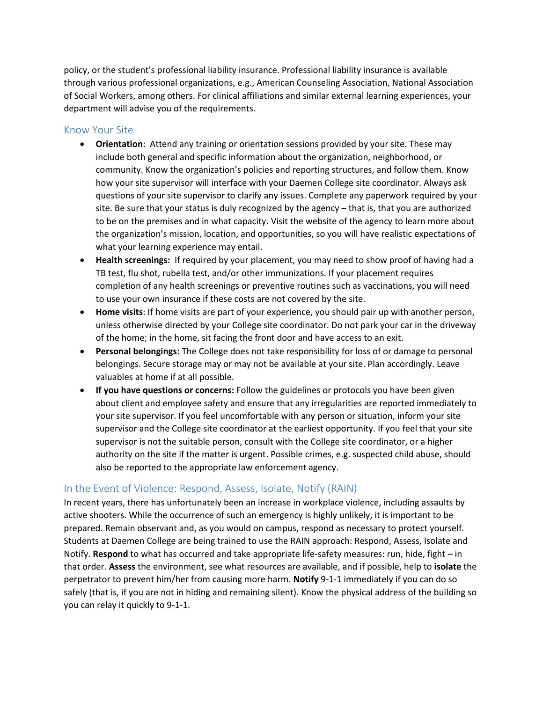policy, or the student's professional liability insurance. Professional liability insurance is available through various professional organizations, e.g., American Counseling Association, National Association of Social Workers, among others. For clinical affiliations and similar external learning experiences, your department will advise you of the requirements.

#### Know Your Site

- **Orientation**: Attend any training or orientation sessions provided by your site. These may include both general and specific information about the organization, neighborhood, or community. Know the organization's policies and reporting structures, and follow them. Know how your site supervisor will interface with your Daemen College site coordinator. Always ask questions of your site supervisor to clarify any issues. Complete any paperwork required by your site. Be sure that your status is duly recognized by the agency – that is, that you are authorized to be on the premises and in what capacity. Visit the website of the agency to learn more about the organization's mission, location, and opportunities, so you will have realistic expectations of what your learning experience may entail.
- **Health screenings:** If required by your placement, you may need to show proof of having had a TB test, flu shot, rubella test, and/or other immunizations. If your placement requires completion of any health screenings or preventive routines such as vaccinations, you will need to use your own insurance if these costs are not covered by the site.
- **Home visits**: If home visits are part of your experience, you should pair up with another person, unless otherwise directed by your College site coordinator. Do not park your car in the driveway of the home; in the home, sit facing the front door and have access to an exit.
- **Personal belongings:** The College does not take responsibility for loss of or damage to personal belongings. Secure storage may or may not be available at your site. Plan accordingly. Leave valuables at home if at all possible.
- **If you have questions or concerns:** Follow the guidelines or protocols you have been given about client and employee safety and ensure that any irregularities are reported immediately to your site supervisor. If you feel uncomfortable with any person or situation, inform your site supervisor and the College site coordinator at the earliest opportunity. If you feel that your site supervisor is not the suitable person, consult with the College site coordinator, or a higher authority on the site if the matter is urgent. Possible crimes, e.g. suspected child abuse, should also be reported to the appropriate law enforcement agency.

# In the Event of Violence: Respond, Assess, Isolate, Notify (RAIN)

In recent years, there has unfortunately been an increase in workplace violence, including assaults by active shooters. While the occurrence of such an emergency is highly unlikely, it is important to be prepared. Remain observant and, as you would on campus, respond as necessary to protect yourself. Students at Daemen College are being trained to use the RAIN approach: Respond, Assess, Isolate and Notify. **Respond** to what has occurred and take appropriate life-safety measures: run, hide, fight – in that order. **Assess** the environment, see what resources are available, and if possible, help to **isolate** the perpetrator to prevent him/her from causing more harm. **Notify** 9-1-1 immediately if you can do so safely (that is, if you are not in hiding and remaining silent). Know the physical address of the building so you can relay it quickly to 9-1-1.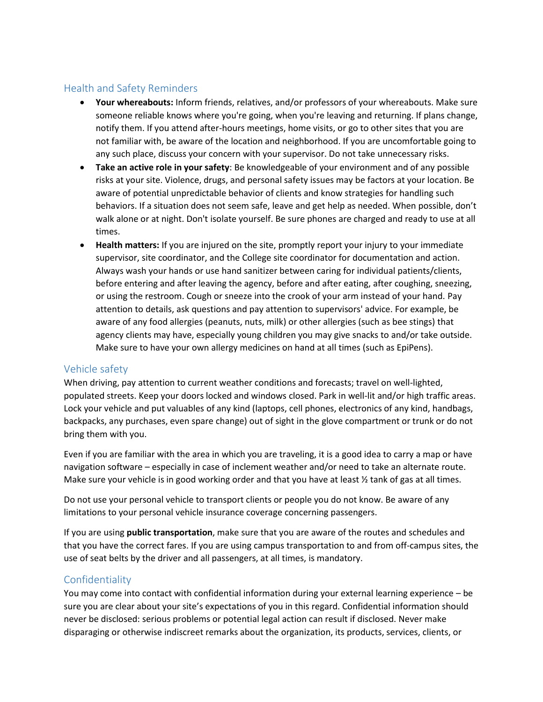# Health and Safety Reminders

- **Your whereabouts:** Inform friends, relatives, and/or professors of your whereabouts. Make sure someone reliable knows where you're going, when you're leaving and returning. If plans change, notify them. If you attend after-hours meetings, home visits, or go to other sites that you are not familiar with, be aware of the location and neighborhood. If you are uncomfortable going to any such place, discuss your concern with your supervisor. Do not take unnecessary risks.
- **Take an active role in your safety**: Be knowledgeable of your environment and of any possible risks at your site. Violence, drugs, and personal safety issues may be factors at your location. Be aware of potential unpredictable behavior of clients and know strategies for handling such behaviors. If a situation does not seem safe, leave and get help as needed. When possible, don't walk alone or at night. Don't isolate yourself. Be sure phones are charged and ready to use at all times.
- **Health matters:** If you are injured on the site, promptly report your injury to your immediate supervisor, site coordinator, and the College site coordinator for documentation and action. Always wash your hands or use hand sanitizer between caring for individual patients/clients, before entering and after leaving the agency, before and after eating, after coughing, sneezing, or using the restroom. Cough or sneeze into the crook of your arm instead of your hand. Pay attention to details, ask questions and pay attention to supervisors' advice. For example, be aware of any food allergies (peanuts, nuts, milk) or other allergies (such as bee stings) that agency clients may have, especially young children you may give snacks to and/or take outside. Make sure to have your own allergy medicines on hand at all times (such as EpiPens).

# Vehicle safety

When driving, pay attention to current weather conditions and forecasts; travel on well-lighted, populated streets. Keep your doors locked and windows closed. Park in well-lit and/or high traffic areas. Lock your vehicle and put valuables of any kind (laptops, cell phones, electronics of any kind, handbags, backpacks, any purchases, even spare change) out of sight in the glove compartment or trunk or do not bring them with you.

Even if you are familiar with the area in which you are traveling, it is a good idea to carry a map or have navigation software – especially in case of inclement weather and/or need to take an alternate route. Make sure your vehicle is in good working order and that you have at least  $\frac{1}{2}$  tank of gas at all times.

Do not use your personal vehicle to transport clients or people you do not know. Be aware of any limitations to your personal vehicle insurance coverage concerning passengers.

If you are using **public transportation**, make sure that you are aware of the routes and schedules and that you have the correct fares. If you are using campus transportation to and from off-campus sites, the use of seat belts by the driver and all passengers, at all times, is mandatory.

# Confidentiality

You may come into contact with confidential information during your external learning experience – be sure you are clear about your site's expectations of you in this regard. Confidential information should never be disclosed: serious problems or potential legal action can result if disclosed. Never make disparaging or otherwise indiscreet remarks about the organization, its products, services, clients, or